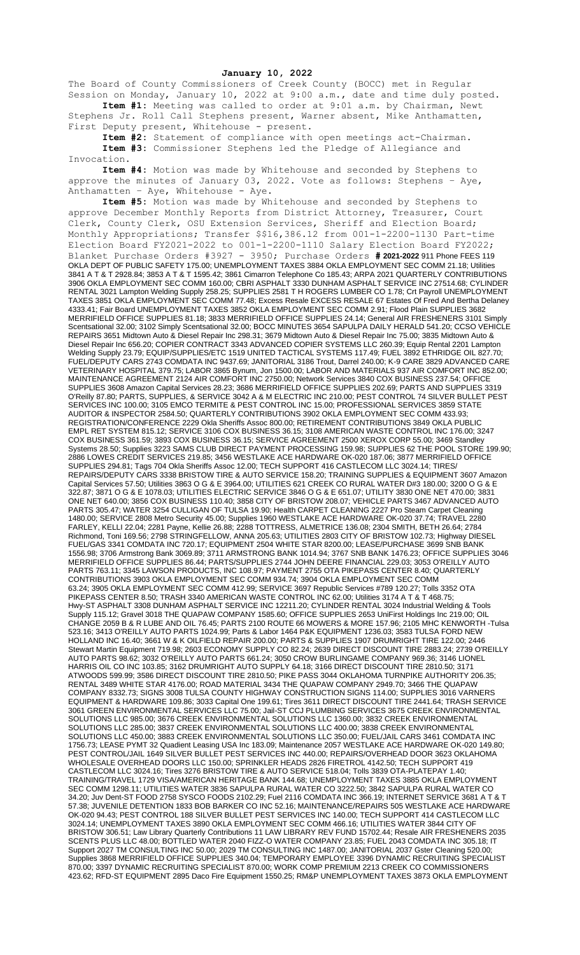## **January 10, 2022**

The Board of County Commissioners of Creek County (BOCC) met in Regular Session on Monday, January 10, 2022 at 9:00 a.m., date and time duly posted. **Item #1:** Meeting was called to order at 9:01 a.m. by Chairman, Newt

Stephens Jr. Roll Call Stephens present, Warner absent, Mike Anthamatten, First Deputy present, Whitehouse - present.

**Item #2:** Statement of compliance with open meetings act-Chairman. **Item #3:** Commissioner Stephens led the Pledge of Allegiance and Invocation.

**Item #4:** Motion was made by Whitehouse and seconded by Stephens to approve the minutes of January 03, 2022. Vote as follows: Stephens – Aye, Anthamatten -  $Aye$ , Whitehouse -  $Aye$ .

**Item #5:** Motion was made by Whitehouse and seconded by Stephens to approve December Monthly Reports from District Attorney, Treasurer, Court Clerk, County Clerk, OSU Extension Services, Sheriff and Election Board; Monthly Appropriations; Transfer \$\$16,386.12 from 001-1-2200-1130 Part-time Election Board FY2021-2022 to 001-1-2200-1110 Salary Election Board FY2022; Blanket Purchase Orders #3927 - 3950; Purchase Orders **# 2021-2022** 911 Phone FEES 119 OKLA DEPT OF PUBLIC SAFETY 175.00; UNEMPLOYMENT TAXES 3884 OKLA EMPLOYMENT SEC COMM 21.18; Utilities 3841 A T & T 2928.84; 3853 A T & T 1595.42; 3861 Cimarron Telephone Co 185.43; ARPA 2021 QUARTERLY CONTRIBUTIONS 3906 OKLA EMPLOYMENT SEC COMM 160.00; CBRI ASPHALT 3330 DUNHAM ASPHALT SERVICE INC 27514.68; CYLINDER RENTAL 3021 Lampton Welding Supply 258.25; SUPPLIES 2581 T H ROGERS LUMBER CO 1.78; Crt Payroll UNEMPLOYMENT TAXES 3851 OKLA EMPLOYMENT SEC COMM 77.48; Excess Resale EXCESS RESALE 67 Estates Of Fred And Bertha Delaney 4333.41; Fair Board UNEMPLOYMENT TAXES 3852 OKLA EMPLOYMENT SEC COMM 2.91; Flood Plain SUPPLIES 3682 MERRIFIELD OFFICE SUPPLIES 81.18; 3833 MERRIFIELD OFFICE SUPPLIES 24.14; General AIR FRESHENERS 3101 Simply Scentsational 32.00; 3102 Simply Scentsational 32.00; BOCC MINUTES 3654 SAPULPA DAILY HERALD 541.20; CCSO VEHICLE REPAIRS 3651 Midtown Auto & Diesel Repair Inc 298.31; 3679 Midtown Auto & Diesel Repair Inc 75.00; 3835 Midtown Auto & Diesel Repair Inc 656.20; COPIER CONTRACT 3343 ADVANCED COPIER SYSTEMS LLC 260.39; Equip Rental 2201 Lampton Welding Supply 23.79; EQUIP/SUPPLIES/ETC 1519 UNITED TACTICAL SYSTEMS 117.49; FUEL 3892 ETHRIDGE OIL 827.70; FUEL/DEPUTY CARS 2743 COMDATA INC 9437.69; JANITORIAL 3186 Trout, Darrel 240.00; K-9 CARE 3829 ADVANCED CARE VETERINARY HOSPITAL 379.75; LABOR 3865 Bynum, Jon 1500.00; LABOR AND MATERIALS 937 AIR COMFORT INC 852.00; MAINTENANCE AGREEMENT 2124 AIR COMFORT INC 2750.00; Network Services 3840 COX BUSINESS 237.54; OFFICE SUPPLIES 3608 Amazon Capital Services 28.23; 3686 MERRIFIELD OFFICE SUPPLIES 202.69; PARTS AND SUPPLIES 3319 O'Reilly 87.80; PARTS, SUPPLIES, & SERVICE 3042 A & M ELECTRIC INC 210.00; PEST CONTROL 74 SILVER BULLET PEST SERVICES INC 100.00; 3105 EMCO TERMITE & PEST CONTROL INC 15.00; PROFESSIONAL SERVICES 3859 STATE AUDITOR & INSPECTOR 2584.50; QUARTERLY CONTRIBUTIONS 3902 OKLA EMPLOYMENT SEC COMM 433.93; REGISTRATION/CONFERENCE 2229 Okla Sheriffs Assoc 800.00; RETIREMENT CONTRIBUTIONS 3849 OKLA PUBLIC EMPL RET SYSTEM 815.12; SERVICE 3106 COX BUSINESS 36.15; 3108 AMERICAN WASTE CONTROL INC 176.00; 3247 COX BUSINESS 361.59; 3893 COX BUSINESS 36.15; SERVICE AGREEMENT 2500 XEROX CORP 55.00; 3469 Standley Systems 28.50; Supplies 3223 SAMS CLUB DIRECT PAYMENT PROCESSING 159.98; SUPPLIES 62 THE POOL STORE 199.90; 2886 LOWES CREDIT SERVICES 219.85; 3456 WESTLAKE ACE HARDWARE OK-020 187.06; 3877 MERRIFIELD OFFICE SUPPLIES 294.81; Tags 704 Okla Sheriffs Assoc 12.00; TECH SUPPORT 416 CASTLECOM LLC 3024.14; TIRES/ REPAIRS/DEPUTY CARS 3338 BRISTOW TIRE & AUTO SERVICE 158.20; TRAINING SUPPLIES & EQUIPMENT 3607 Amazon Capital Services 57.50; Utilities 3863 O G & E 3964.00; UTILITIES 621 CREEK CO RURAL WATER D#3 180.00; 3200 O G & E 322.87; 3871 O G & E 1078.03; UTILITIES ELECTRIC SERVICE 3846 O G & E 651.07; UTILITY 3830 ONE NET 470.00; 3831 ONE NET 640.00; 3856 COX BUSINESS 110.40; 3858 CITY OF BRISTOW 208.07; VEHICLE PARTS 3467 ADVANCED AUTO PARTS 305.47; WATER 3254 CULLIGAN OF TULSA 19.90; Health CARPET CLEANING 2227 Pro Steam Carpet Cleaning 1480.00; SERVICE 2808 Metro Security 45.00; Supplies 1960 WESTLAKE ACE HARDWARE OK-020 37.74; TRAVEL 2280 FARLEY, KELLI 22.04; 2281 Payne, Kellie 26.88; 2288 TOTTRESS, ALMETRICE 136.08; 2304 SMITH, BETH 26.64; 2784 Richmond, Toni 169.56; 2798 STRINGFELLOW, ANNA 205.63; UTILITIES 2803 CITY OF BRISTOW 102.73; Highway DIESEL FUEL/GAS 3341 COMDATA INC 720.17; EQUIPMENT 2504 WHITE STAR 8200.00; LEASE/PURCHASE 3699 SNB BANK 1556.98; 3706 Armstrong Bank 3069.89; 3711 ARMSTRONG BANK 1014.94; 3767 SNB BANK 1476.23; OFFICE SUPPLIES 3046 MERRIFIELD OFFICE SUPPLIES 86.44; PARTS/SUPPLIES 2744 JOHN DEERE FINANCIAL 229.03; 3053 O'REILLY AUTO PARTS 763.11; 3345 LAWSON PRODUCTS, INC 108.97; PAYMENT 2755 OTA PIKEPASS CENTER 8.40; QUARTERLY CONTRIBUTIONS 3903 OKLA EMPLOYMENT SEC COMM 934.74; 3904 OKLA EMPLOYMENT SEC COMM 63.24; 3905 OKLA EMPLOYMENT SEC COMM 412.99; SERVICE 3697 Republic Services #789 120.27; Tolls 3352 OTA PIKEPASS CENTER 8.50; TRASH 3340 AMERICAN WASTE CONTROL INC 62.00; Utilities 3174 A T & T 468.75; Hwy-ST ASPHALT 3308 DUNHAM ASPHALT SERVICE INC 12211.20; CYLINDER RENTAL 3024 Industrial Welding & Tools Supply 115.12; Gravel 3018 THE QUAPAW COMPANY 1585.60; OFFICE SUPPLIES 2653 UniFirst Holdings Inc 219.00; OIL CHANGE 2059 B & R LUBE AND OIL 76.45; PARTS 2100 ROUTE 66 MOWERS & MORE 157.96; 2105 MHC KENWORTH -Tulsa 523.16; 3413 O'REILLY AUTO PARTS 1024.99; Parts & Labor 1464 P&K EQUIPMENT 1236.03; 3583 TULSA FORD NEW HOLLAND INC 16.40; 3661 W & K OILFIELD REPAIR 200.00; PARTS & SUPPLIES 1907 DRUMRIGHT TIRE 122.00; 2446 Stewart Martin Equipment 719.98; 2603 ECONOMY SUPPLY CO 82.24; 2639 DIRECT DISCOUNT TIRE 2883.24; 2739 O'REILLY AUTO PARTS 98.62; 3032 O'REILLY AUTO PARTS 661.24; 3050 CROW BURLINGAME COMPANY 969.36; 3146 LIONEL HARRIS OIL CO INC 103.85; 3162 DRUMRIGHT AUTO SUPPLY 64.18; 3166 DIRECT DISCOUNT TIRE 2810.50; 3171 ATWOODS 599.99; 3586 DIRECT DISCOUNT TIRE 2810.50; PIKE PASS 3044 OKLAHOMA TURNPIKE AUTHORITY 206.35; RENTAL 3489 WHITE STAR 4176.00; ROAD MATERIAL 3434 THE QUAPAW COMPANY 2949.70; 3466 THE QUAPAW COMPANY 8332.73; SIGNS 3008 TULSA COUNTY HIGHWAY CONSTRUCTION SIGNS 114.00; SUPPLIES 3016 VARNERS EQUIPMENT & HARDWARE 109.86; 3033 Capital One 199.61; Tires 3611 DIRECT DISCOUNT TIRE 2441.64; TRASH SERVICE 3061 GREEN ENVIRONMENTAL SERVICES LLC 75.00; Jail-ST CCJ PLUMBING SERVICES 3675 CREEK ENVIRONMENTAL SOLUTIONS LLC 985.00; 3676 CREEK ENVIRONMENTAL SOLUTIONS LLC 1360.00; 3832 CREEK ENVIRONMENTAL SOLUTIONS LLC 285.00; 3837 CREEK ENVIRONMENTAL SOLUTIONS LLC 400.00; 3838 CREEK ENVIRONMENTAL SOLUTIONS LLC 450.00; 3883 CREEK ENVIRONMENTAL SOLUTIONS LLC 350.00; FUEL/JAIL CARS 3461 COMDATA INC 1756.73; LEASE PYMT 32 Quadient Leasing USA Inc 183.09; Maintenance 2057 WESTLAKE ACE HARDWARE OK-020 149.80; PEST CONTROL/JAIL 1649 SILVER BULLET PEST SERVICES INC 440.00; REPAIRS/OVERHEAD DOOR 3623 OKLAHOMA WHOLESALE OVERHEAD DOORS LLC 150.00; SPRINKLER HEADS 2826 FIRETROL 4142.50; TECH SUPPORT 419 CASTLECOM LLC 3024.16; Tires 3276 BRISTOW TIRE & AUTO SERVICE 518.04; Tolls 3839 OTA-PLATEPAY 1.40; TRAINING/TRAVEL 1729 VISA/AMERICAN HERITAGE BANK 144.68; UNEMPLOYMENT TAXES 3885 OKLA EMPLOYMENT SEC COMM 1298.11; UTILITIES WATER 3836 SAPULPA RURAL WATER CO 3222.50; 3842 SAPULPA RURAL WATER CO 34.20; Juv Dent-ST FOOD 2758 SYSCO FOODS 2102.29; Fuel 2116 COMDATA INC 366.19; INTERNET SERVICE 3681 A T & T 57.38; JUVENILE DETENTION 1833 BOB BARKER CO INC 52.16; MAINTENANCE/REPAIRS 505 WESTLAKE ACE HARDWARE OK-020 94.43; PEST CONTROL 188 SILVER BULLET PEST SERVICES INC 140.00; TECH SUPPORT 414 CASTLECOM LLC 3024.14; UNEMPLOYMENT TAXES 3890 OKLA EMPLOYMENT SEC COMM 466.16; UTILITIES WATER 3844 CITY OF BRISTOW 306.51; Law Library Quarterly Contributions 11 LAW LIBRARY REV FUND 15702.44; Resale AIR FRESHENERS 2035 SCENTS PLUS LLC 48.00; BOTTLED WATER 2040 FIZZ-O WATER COMPANY 23.85; FUEL 2043 COMDATA INC 305.18; IT Support 2027 TM CONSULTING INC 50.00; 2029 TM CONSULTING INC 1487.00; JANITORIAL 2037 Gster Cleaning 520.00; Supplies 3868 MERRIFIELD OFFICE SUPPLIES 340.04; TEMPORARY EMPLOYEE 3396 DYNAMIC RECRUITING SPECIALIST 870.00; 3397 DYNAMIC RECRUITING SPECIALIST 870.00; WORK COMP PREMIUM 2213 CREEK CO COMMISSIONERS 423.62; RFD-ST EQUIPMENT 2895 Daco Fire Equipment 1550.25; RM&P UNEMPLOYMENT TAXES 3873 OKLA EMPLOYMENT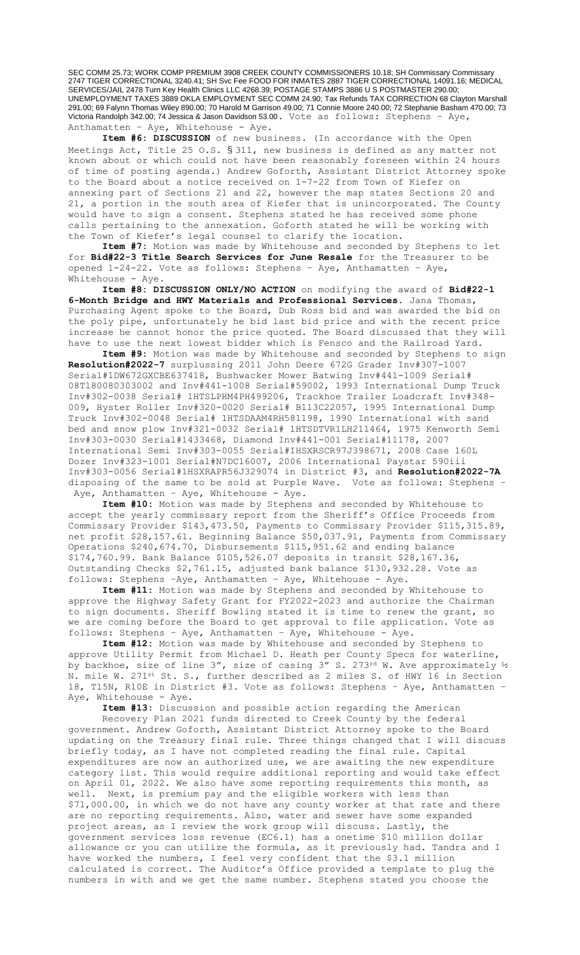SEC COMM 25.73; WORK COMP PREMIUM 3908 CREEK COUNTY COMMISSIONERS 10.18; SH Commissary Commissary 2747 TIGER CORRECTIONAL 3240.41; SH Svc Fee FOOD FOR INMATES 2887 TIGER CORRECTIONAL 14091.16; MEDICAL SERVICES/JAIL 2478 Turn Key Health Clinics LLC 4268.39; POSTAGE STAMPS 3886 U S POSTMASTER 290.00; UNEMPLOYMENT TAXES 3889 OKLA EMPLOYMENT SEC COMM 24.90; Tax Refunds TAX CORRECTION 68 Clayton Marshall 291.00; 69 Falynn Thomas Wiley 890.00; 70 Harold M Garrison 49.00; 71 Connie Moore 240.00; 72 Stephanie Basham 470.00; 73 Victoria Randolph 342.00; 74 Jessica & Jason Davidson 53.00. Vote as follows: Stephens – Aye, Anthamatten – Aye, Whitehouse - Aye.

**Item #6: DISCUSSION** of new business. (In accordance with the Open Meetings Act, Title 25 O.S. § 311, new business is defined as any matter not known about or which could not have been reasonably foreseen within 24 hours of time of posting agenda.) Andrew Goforth, Assistant District Attorney spoke to the Board about a notice received on 1-7-22 from Town of Kiefer on annexing part of Sections 21 and 22, however the map states Sections 20 and 21, a portion in the south area of Kiefer that is unincorporated. The County would have to sign a consent. Stephens stated he has received some phone calls pertaining to the annexation. Goforth stated he will be working with the Town of Kiefer's legal counsel to clarify the location.

**Item #7:** Motion was made by Whitehouse and seconded by Stephens to let for **Bid#22-3 Title Search Services for June Resale** for the Treasurer to be opened 1-24-22. Vote as follows: Stephens – Aye, Anthamatten – Aye, Whitehouse - Aye.

**Item #8: DISCUSSION ONLY/NO ACTION** on modifying the award of **Bid#22-1 6-Month Bridge and HWY Materials and Professional Services.** Jana Thomas, Purchasing Agent spoke to the Board, Dub Ross bid and was awarded the bid on the poly pipe, unfortunately he bid last bid price and with the recent price increase he cannot honor the price quoted. The Board discussed that they will have to use the next lowest bidder which is Fensco and the Railroad Yard.

**Item #9:** Motion was made by Whitehouse and seconded by Stephens to sign **Resolution#2022-7** surplussing 2011 John Deere 672G Grader Inv#307-1007 Serial#1DW672GXCBE637418, Bushwacker Mower Batwing Inv#441-1009 Serial# 08T180080303002 and Inv#441-1008 Serial#59002, 1993 International Dump Truck Inv#302-0038 Serial# 1HTSLPHM4PH499206, Trackhoe Trailer Loadcraft Inv#348- 009, Hyster Roller Inv#320-0020 Serial# B113C22057, 1995 International Dump Truck Inv#302-0048 Serial# 1HTSDAAM4RH581198, 1990 International with sand bed and snow plow Inv#321-0032 Serial# 1HTSDTVR1LH211464, 1975 Kenworth Semi Inv#303-0030 Serial#1433468, Diamond Inv#441-001 Serial#11178, 2007 International Semi Inv#303-0055 Serial#IHSXRSCR97J398671, 2008 Case 160L Dozer Inv#323-1001 Serial#N7DC16007, 2006 International Paystar 590iii Inv#303-0056 Serial#1HSXRAPR56J329074 in District #3, and **Resolution#2022-7A** disposing of the same to be sold at Purple Wave. Vote as follows: Stephens – Aye, Anthamatten - Aye, Whitehouse - Aye.

**Item #10:** Motion was made by Stephens and seconded by Whitehouse to accept the yearly commissary report from the Sheriff's Office Proceeds from Commissary Provider \$143,473.50, Payments to Commissary Provider \$115,315.89, net profit \$28,157.61. Beginning Balance \$50,037.91, Payments from Commissary Operations \$240,674.70, Disbursements \$115,951.62 and ending balance \$174,760.99. Bank Balance \$105,526.07 deposits in transit \$28,167.36, Outstanding Checks \$2,761.15, adjusted bank balance \$130,932.28. Vote as follows: Stephens –Aye, Anthamatten – Aye, Whitehouse - Aye.

**Item #11:** Motion was made by Stephens and seconded by Whitehouse to approve the Highway Safety Grant for FY2022-2023 and authorize the Chairman to sign documents. Sheriff Bowling stated it is time to renew the grant, so we are coming before the Board to get approval to file application. Vote as follows: Stephens – Aye, Anthamatten – Aye, Whitehouse - Aye.

**Item #12:** Motion was made by Whitehouse and seconded by Stephens to approve Utility Permit from Michael D. Heath per County Specs for waterline, by backhoe, size of line 3", size of casing 3" S. 273rd W. Ave approximately  $\frac{1}{2}$ N. mile W. 271st St. S., further described as 2 miles S. of HWY 16 in Section 18, T15N, R10E in District #3. Vote as follows: Stephens – Aye, Anthamatten – Aye, Whitehouse - Aye.

**Item #13:** Discussion and possible action regarding the American

Recovery Plan 2021 funds directed to Creek County by the federal government. Andrew Goforth, Assistant District Attorney spoke to the Board updating on the Treasury final rule. Three things changed that I will discuss briefly today, as I have not completed reading the final rule. Capital expenditures are now an authorized use, we are awaiting the new expenditure category list. This would require additional reporting and would take effect on April 01, 2022. We also have some reporting requirements this month, as well. Next, is premium pay and the eligible workers with less than \$71,000.00, in which we do not have any county worker at that rate and there are no reporting requirements. Also, water and sewer have some expanded project areas, as I review the work group will discuss. Lastly, the government services loss revenue (EC6.1) has a onetime \$10 million dollar allowance or you can utilize the formula, as it previously had. Tandra and I have worked the numbers, I feel very confident that the \$3.1 million calculated is correct. The Auditor's Office provided a template to plug the numbers in with and we get the same number. Stephens stated you choose the